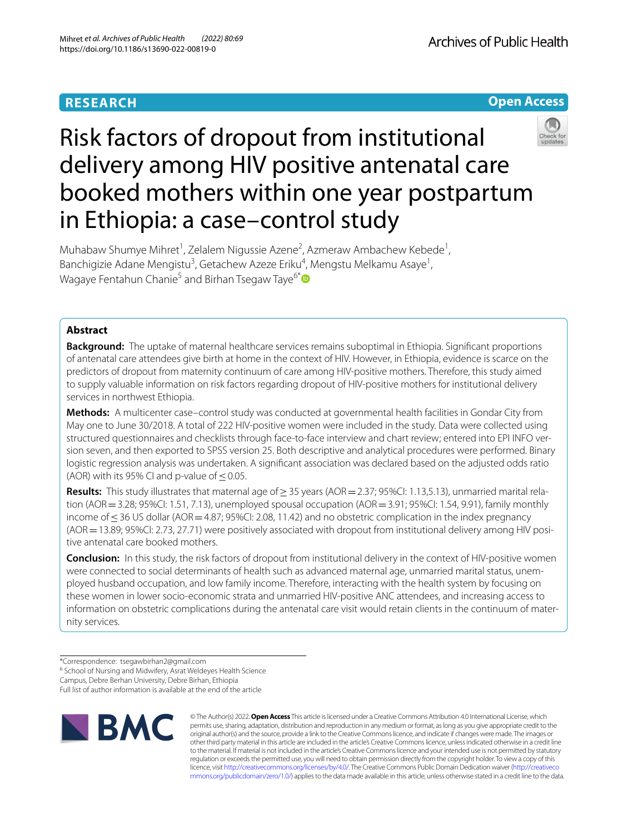## **RESEARCH**





# Risk factors of dropout from institutional delivery among HIV positive antenatal care booked mothers within one year postpartum in Ethiopia: a case–control study

Muhabaw Shumye Mihret<sup>1</sup>, Zelalem Nigussie Azene<sup>2</sup>, Azmeraw Ambachew Kebede<sup>1</sup>, Banchigizie Adane Mengistu<sup>3</sup>, Getachew Azeze Eriku<sup>4</sup>, Mengstu Melkamu Asaye<sup>1</sup>, Wagaye Fentahun Chanie<sup>5</sup> and Birhan Tsegaw Taye<sup>6[\\*](http://orcid.org/0000-0003-2174-3797)</sup>

## **Abstract**

**Background:** The uptake of maternal healthcare services remains suboptimal in Ethiopia. Signifcant proportions of antenatal care attendees give birth at home in the context of HIV. However, in Ethiopia, evidence is scarce on the predictors of dropout from maternity continuum of care among HIV-positive mothers. Therefore, this study aimed to supply valuable information on risk factors regarding dropout of HIV-positive mothers for institutional delivery services in northwest Ethiopia.

**Methods:** A multicenter case–control study was conducted at governmental health facilities in Gondar City from May one to June 30/2018. A total of 222 HIV-positive women were included in the study. Data were collected using structured questionnaires and checklists through face-to-face interview and chart review; entered into EPI INFO version seven, and then exported to SPSS version 25. Both descriptive and analytical procedures were performed. Binary logistic regression analysis was undertaken. A signifcant association was declared based on the adjusted odds ratio (AOR) with its 95% CI and p-value of  $\leq$  0.05.

**Results:** This study illustrates that maternal age of≥35 years (AOR=2.37; 95%CI: 1.13,5.13), unmarried marital relation (AOR = 3.28; 95%CI: 1.51, 7.13), unemployed spousal occupation (AOR = 3.91; 95%CI: 1.54, 9.91), family monthly income of ≤36 US dollar (AOR = 4.87; 95%CI: 2.08, 11.42) and no obstetric complication in the index pregnancy (AOR=13.89; 95%CI: 2.73, 27.71) were positively associated with dropout from institutional delivery among HIV positive antenatal care booked mothers.

**Conclusion:** In this study, the risk factors of dropout from institutional delivery in the context of HIV-positive women were connected to social determinants of health such as advanced maternal age, unmarried marital status, unemployed husband occupation, and low family income. Therefore, interacting with the health system by focusing on these women in lower socio-economic strata and unmarried HIV-positive ANC attendees, and increasing access to information on obstetric complications during the antenatal care visit would retain clients in the continuum of maternity services.

<sup>6</sup> School of Nursing and Midwifery, Asrat Weldeyes Health Science

Full list of author information is available at the end of the article



© The Author(s) 2022. **Open Access** This article is licensed under a Creative Commons Attribution 4.0 International License, which permits use, sharing, adaptation, distribution and reproduction in any medium or format, as long as you give appropriate credit to the original author(s) and the source, provide a link to the Creative Commons licence, and indicate if changes were made. The images or other third party material in this article are included in the article's Creative Commons licence, unless indicated otherwise in a credit line to the material. If material is not included in the article's Creative Commons licence and your intended use is not permitted by statutory regulation or exceeds the permitted use, you will need to obtain permission directly from the copyright holder. To view a copy of this licence, visit [http://creativecommons.org/licenses/by/4.0/.](http://creativecommons.org/licenses/by/4.0/) The Creative Commons Public Domain Dedication waiver ([http://creativeco](http://creativecommons.org/publicdomain/zero/1.0/) [mmons.org/publicdomain/zero/1.0/](http://creativecommons.org/publicdomain/zero/1.0/)) applies to the data made available in this article, unless otherwise stated in a credit line to the data.

<sup>\*</sup>Correspondence: tsegawbirhan2@gmail.com

Campus, Debre Berhan University, Debre Birhan, Ethiopia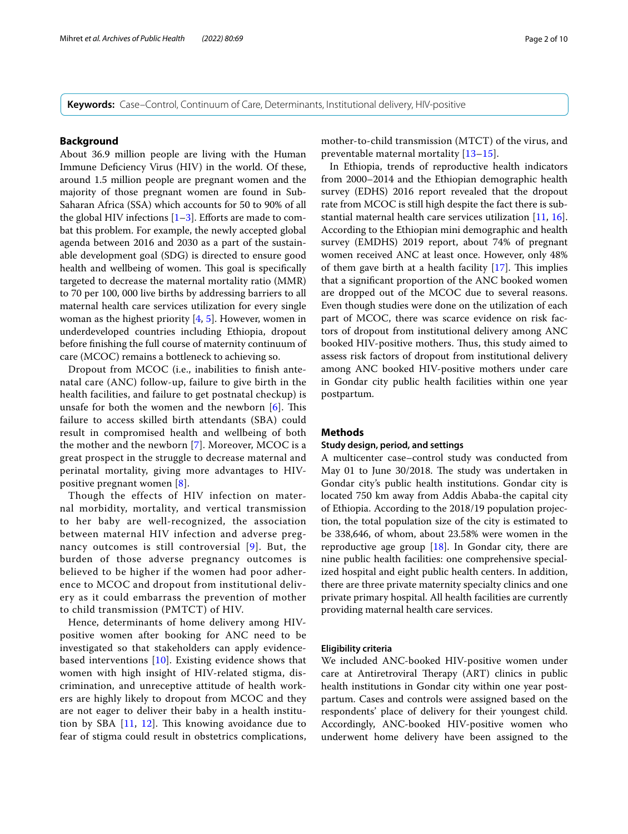**Keywords:** Case–Control, Continuum of Care, Determinants, Institutional delivery, HIV-positive

## **Background**

About 36.9 million people are living with the Human Immune Defciency Virus (HIV) in the world. Of these, around 1.5 million people are pregnant women and the majority of those pregnant women are found in Sub-Saharan Africa (SSA) which accounts for 50 to 90% of all the global HIV infections  $[1-3]$  $[1-3]$ . Efforts are made to combat this problem. For example, the newly accepted global agenda between 2016 and 2030 as a part of the sustainable development goal (SDG) is directed to ensure good health and wellbeing of women. This goal is specifically targeted to decrease the maternal mortality ratio (MMR) to 70 per 100, 000 live births by addressing barriers to all maternal health care services utilization for every single woman as the highest priority  $[4, 5]$  $[4, 5]$  $[4, 5]$  $[4, 5]$ . However, women in underdeveloped countries including Ethiopia, dropout before fnishing the full course of maternity continuum of care (MCOC) remains a bottleneck to achieving so.

Dropout from MCOC (i.e., inabilities to fnish antenatal care (ANC) follow-up, failure to give birth in the health facilities, and failure to get postnatal checkup) is unsafe for both the women and the newborn  $[6]$  $[6]$ . This failure to access skilled birth attendants (SBA) could result in compromised health and wellbeing of both the mother and the newborn [[7](#page-8-5)]. Moreover, MCOC is a great prospect in the struggle to decrease maternal and perinatal mortality, giving more advantages to HIVpositive pregnant women [\[8](#page-8-6)].

Though the effects of HIV infection on maternal morbidity, mortality, and vertical transmission to her baby are well-recognized, the association between maternal HIV infection and adverse pregnancy outcomes is still controversial [[9](#page-8-7)]. But, the burden of those adverse pregnancy outcomes is believed to be higher if the women had poor adherence to MCOC and dropout from institutional delivery as it could embarrass the prevention of mother to child transmission (PMTCT) of HIV.

Hence, determinants of home delivery among HIVpositive women after booking for ANC need to be investigated so that stakeholders can apply evidencebased interventions [\[10](#page-8-8)]. Existing evidence shows that women with high insight of HIV-related stigma, discrimination, and unreceptive attitude of health workers are highly likely to dropout from MCOC and they are not eager to deliver their baby in a health institution by SBA  $[11, 12]$  $[11, 12]$  $[11, 12]$  $[11, 12]$  $[11, 12]$ . This knowing avoidance due to fear of stigma could result in obstetrics complications, mother-to-child transmission (MTCT) of the virus, and preventable maternal mortality [[13–](#page-8-11)[15\]](#page-8-12).

In Ethiopia, trends of reproductive health indicators from 2000–2014 and the Ethiopian demographic health survey (EDHS) 2016 report revealed that the dropout rate from MCOC is still high despite the fact there is substantial maternal health care services utilization [\[11](#page-8-9), [16](#page-8-13)]. According to the Ethiopian mini demographic and health survey (EMDHS) 2019 report, about 74% of pregnant women received ANC at least once. However, only 48% of them gave birth at a health facility  $[17]$  $[17]$ . This implies that a signifcant proportion of the ANC booked women are dropped out of the MCOC due to several reasons. Even though studies were done on the utilization of each part of MCOC, there was scarce evidence on risk factors of dropout from institutional delivery among ANC booked HIV-positive mothers. Thus, this study aimed to assess risk factors of dropout from institutional delivery among ANC booked HIV-positive mothers under care in Gondar city public health facilities within one year postpartum.

#### **Methods**

#### **Study design, period, and settings**

A multicenter case–control study was conducted from May 01 to June 30/2018. The study was undertaken in Gondar city's public health institutions. Gondar city is located 750 km away from Addis Ababa-the capital city of Ethiopia. According to the 2018/19 population projection, the total population size of the city is estimated to be 338,646, of whom, about 23.58% were women in the reproductive age group  $[18]$ . In Gondar city, there are nine public health facilities: one comprehensive specialized hospital and eight public health centers. In addition, there are three private maternity specialty clinics and one private primary hospital. All health facilities are currently providing maternal health care services.

## **Eligibility criteria**

We included ANC-booked HIV-positive women under care at Antiretroviral Therapy (ART) clinics in public health institutions in Gondar city within one year postpartum. Cases and controls were assigned based on the respondents' place of delivery for their youngest child. Accordingly, ANC-booked HIV-positive women who underwent home delivery have been assigned to the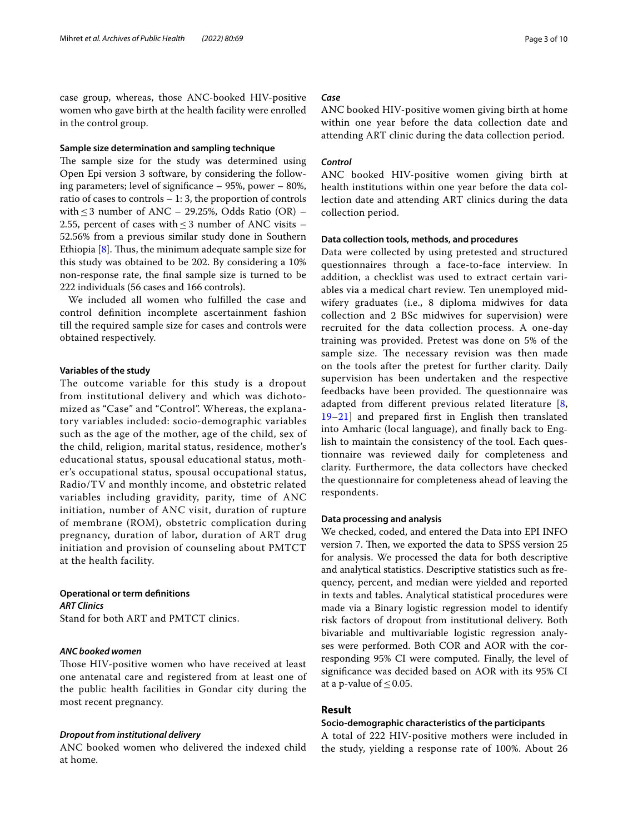case group, whereas, those ANC-booked HIV-positive women who gave birth at the health facility were enrolled in the control group.

## **Sample size determination and sampling technique**

The sample size for the study was determined using Open Epi version 3 software, by considering the following parameters; level of signifcance – 95%, power – 80%, ratio of cases to controls – 1: 3, the proportion of controls with  $\leq$  3 number of ANC – 29.25%, Odds Ratio (OR) – 2.55, percent of cases with  $\leq$  3 number of ANC visits – 52.56% from a previous similar study done in Southern Ethiopia  $[8]$  $[8]$ . Thus, the minimum adequate sample size for this study was obtained to be 202. By considering a 10% non-response rate, the fnal sample size is turned to be 222 individuals (56 cases and 166 controls).

We included all women who fulflled the case and control defnition incomplete ascertainment fashion till the required sample size for cases and controls were obtained respectively.

## **Variables of the study**

The outcome variable for this study is a dropout from institutional delivery and which was dichotomized as "Case" and "Control". Whereas, the explanatory variables included: socio-demographic variables such as the age of the mother, age of the child, sex of the child, religion, marital status, residence, mother's educational status, spousal educational status, mother's occupational status, spousal occupational status, Radio/TV and monthly income, and obstetric related variables including gravidity, parity, time of ANC initiation, number of ANC visit, duration of rupture of membrane (ROM), obstetric complication during pregnancy, duration of labor, duration of ART drug initiation and provision of counseling about PMTCT at the health facility.

## **Operational or term defnitions** *ART Clinics*

Stand for both ART and PMTCT clinics.

## *ANC booked women*

Those HIV-positive women who have received at least one antenatal care and registered from at least one of the public health facilities in Gondar city during the most recent pregnancy.

## *Dropout from institutional delivery*

ANC booked women who delivered the indexed child at home.

## *Case*

ANC booked HIV-positive women giving birth at home within one year before the data collection date and attending ART clinic during the data collection period.

## *Control*

ANC booked HIV-positive women giving birth at health institutions within one year before the data collection date and attending ART clinics during the data collection period.

## **Data collection tools, methods, and procedures**

Data were collected by using pretested and structured questionnaires through a face-to-face interview. In addition, a checklist was used to extract certain variables via a medical chart review. Ten unemployed midwifery graduates (i.e., 8 diploma midwives for data collection and 2 BSc midwives for supervision) were recruited for the data collection process. A one-day training was provided. Pretest was done on 5% of the sample size. The necessary revision was then made on the tools after the pretest for further clarity. Daily supervision has been undertaken and the respective feedbacks have been provided. The questionnaire was adapted from diferent previous related literature [\[8](#page-8-6), [19–](#page-8-16)[21](#page-8-17)] and prepared frst in English then translated into Amharic (local language), and fnally back to English to maintain the consistency of the tool. Each questionnaire was reviewed daily for completeness and clarity. Furthermore, the data collectors have checked the questionnaire for completeness ahead of leaving the respondents.

## **Data processing and analysis**

We checked, coded, and entered the Data into EPI INFO version 7. Then, we exported the data to SPSS version 25 for analysis. We processed the data for both descriptive and analytical statistics. Descriptive statistics such as frequency, percent, and median were yielded and reported in texts and tables. Analytical statistical procedures were made via a Binary logistic regression model to identify risk factors of dropout from institutional delivery. Both bivariable and multivariable logistic regression analyses were performed. Both COR and AOR with the corresponding 95% CI were computed. Finally, the level of signifcance was decided based on AOR with its 95% CI at a p-value of  $\leq 0.05$ .

## **Result**

## **Socio‑demographic characteristics of the participants**

A total of 222 HIV-positive mothers were included in the study, yielding a response rate of 100%. About 26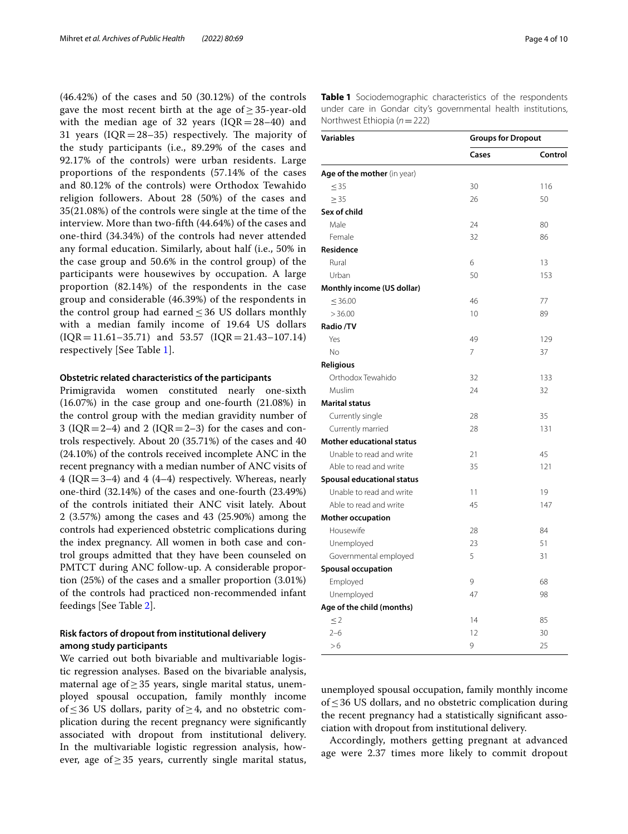(46.42%) of the cases and 50 (30.12%) of the controls gave the most recent birth at the age of  $\geq$  35-year-old with the median age of 32 years ( $IQR = 28-40$ ) and 31 years ( $IQR = 28-35$ ) respectively. The majority of the study participants (i.e., 89.29% of the cases and 92.17% of the controls) were urban residents. Large proportions of the respondents (57.14% of the cases and 80.12% of the controls) were Orthodox Tewahido religion followers. About 28 (50%) of the cases and 35(21.08%) of the controls were single at the time of the interview. More than two-ffth (44.64%) of the cases and one-third (34.34%) of the controls had never attended any formal education. Similarly, about half (i.e., 50% in the case group and 50.6% in the control group) of the participants were housewives by occupation. A large proportion (82.14%) of the respondents in the case group and considerable (46.39%) of the respondents in the control group had earned  $\leq$  36 US dollars monthly with a median family income of 19.64 US dollars  $IQR = 11.61-35.71$  and 53.57  $IQR = 21.43-107.14$ respectively [See Table [1\]](#page-3-0).

## **Obstetric related characteristics of the participants**

Primigravida women constituted nearly one-sixth (16.07%) in the case group and one-fourth (21.08%) in the control group with the median gravidity number of 3 ( $IQR = 2-4$ ) and 2 ( $IQR = 2-3$ ) for the cases and controls respectively. About 20 (35.71%) of the cases and 40 (24.10%) of the controls received incomplete ANC in the recent pregnancy with a median number of ANC visits of 4 (IQR=3–4) and 4 (4–4) respectively. Whereas, nearly one-third (32.14%) of the cases and one-fourth (23.49%) of the controls initiated their ANC visit lately. About 2 (3.57%) among the cases and 43 (25.90%) among the controls had experienced obstetric complications during the index pregnancy. All women in both case and control groups admitted that they have been counseled on PMTCT during ANC follow-up. A considerable proportion (25%) of the cases and a smaller proportion (3.01%) of the controls had practiced non-recommended infant feedings [See Table [2](#page-4-0)].

## **Risk factors of dropout from institutional delivery among study participants**

We carried out both bivariable and multivariable logistic regression analyses. Based on the bivariable analysis, maternal age of $\geq$ 35 years, single marital status, unemployed spousal occupation, family monthly income of≤36 US dollars, parity of≥4, and no obstetric complication during the recent pregnancy were signifcantly associated with dropout from institutional delivery. In the multivariable logistic regression analysis, however, age of≥35 years, currently single marital status,

<span id="page-3-0"></span>

| <b>Variables</b>                 | <b>Groups for Dropout</b> |         |  |
|----------------------------------|---------------------------|---------|--|
|                                  | Cases                     | Control |  |
| Age of the mother (in year)      |                           |         |  |
| $\leq$ 35                        | 30                        | 116     |  |
| > 35                             | 26                        | 50      |  |
| Sex of child                     |                           |         |  |
| Male                             | 24                        | 80      |  |
| Female                           | 32                        | 86      |  |
| Residence                        |                           |         |  |
| Rural                            | 6                         | 13      |  |
| Urban                            | 50                        | 153     |  |
| Monthly income (US dollar)       |                           |         |  |
| $\leq 36.00$                     | 46                        | 77      |  |
| >36.00                           | 10                        | 89      |  |
| Radio /TV                        |                           |         |  |
| Yes                              | 49                        | 129     |  |
| No                               | 7                         | 37      |  |
| <b>Religious</b>                 |                           |         |  |
| Orthodox Tewahido                | 32                        | 133     |  |
| Muslim                           | 24                        | 32      |  |
| <b>Marital status</b>            |                           |         |  |
| Currently single                 | 28                        | 35      |  |
| Currently married                | 28                        | 131     |  |
| <b>Mother educational status</b> |                           |         |  |
| Unable to read and write         | 21                        | 45      |  |
| Able to read and write           | 35                        | 121     |  |
| Spousal educational status       |                           |         |  |
| Unable to read and write         | 11                        | 19      |  |
| Able to read and write           | 45                        | 147     |  |
| <b>Mother occupation</b>         |                           |         |  |
| Housewife                        | 28                        | 84      |  |
| Unemployed                       | 23                        | 51      |  |
| Governmental employed            | 5                         | 31      |  |
| <b>Spousal occupation</b>        |                           |         |  |
| Employed                         | 9                         | 68      |  |
| Unemployed                       | 47                        | 98      |  |
| Age of the child (months)        |                           |         |  |
| $\leq$ 2                         | 14                        | 85      |  |
| $2 - 6$                          | 12                        | 30      |  |
| >6                               | 9                         | 25      |  |

unemployed spousal occupation, family monthly income of≤36 US dollars, and no obstetric complication during the recent pregnancy had a statistically signifcant association with dropout from institutional delivery.

Accordingly, mothers getting pregnant at advanced age were 2.37 times more likely to commit dropout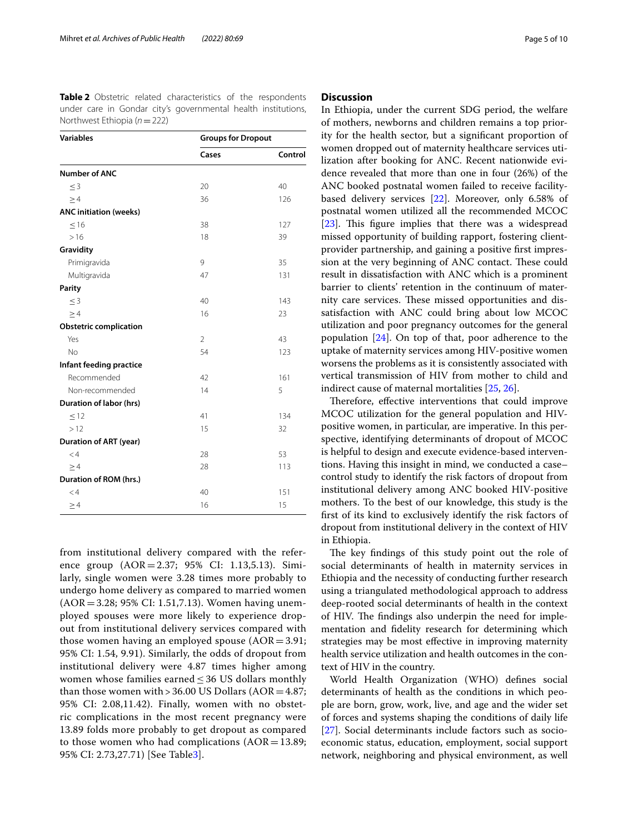<span id="page-4-0"></span>**Table 2** Obstetric related characteristics of the respondents under care in Gondar city's governmental health institutions, Northwest Ethiopia (*n*=222)

|                               | Cases          | Control |
|-------------------------------|----------------|---------|
|                               |                |         |
| <b>Number of ANC</b>          |                |         |
| $\leq$ 3                      | 20             | 40      |
| >4                            | 36             | 126     |
| <b>ANC initiation (weeks)</b> |                |         |
| < 16                          | 38             | 127     |
| >16                           | 18             | 39      |
| Gravidity                     |                |         |
| Primigravida                  | 9              | 35      |
| Multigravida                  | 47             | 131     |
| <b>Parity</b>                 |                |         |
| $<$ 3                         | 40             | 143     |
| $\geq 4$                      | 16             | 23      |
| <b>Obstetric complication</b> |                |         |
| Yes                           | $\mathfrak{D}$ | 43      |
| <b>No</b>                     | 54             | 123     |
| Infant feeding practice       |                |         |
| Recommended                   | 42             | 161     |
| Non-recommended               | 14             | 5       |
| Duration of labor (hrs)       |                |         |
| < 12                          | 41             | 134     |
| >12                           | 15             | 32      |
| <b>Duration of ART (year)</b> |                |         |
| < 4                           | 28             | 53      |
| $\geq 4$                      | 28             | 113     |
| Duration of ROM (hrs.)        |                |         |
| $<$ 4                         | 40             | 151     |
| $\geq 4$                      | 16             | 15      |

from institutional delivery compared with the reference group (AOR=2.37; 95% CI: 1.13,5.13). Similarly, single women were 3.28 times more probably to undergo home delivery as compared to married women (AOR=3.28; 95% CI: 1.51,7.13). Women having unemployed spouses were more likely to experience dropout from institutional delivery services compared with those women having an employed spouse  $(AOR=3.91;$ 95% CI: 1.54, 9.91). Similarly, the odds of dropout from institutional delivery were 4.87 times higher among women whose families earned  $\leq$  36 US dollars monthly than those women with  $> 36.00$  US Dollars (AOR = 4.87; 95% CI: 2.08,11.42). Finally, women with no obstetric complications in the most recent pregnancy were 13.89 folds more probably to get dropout as compared to those women who had complications  $(AOR = 13.89;$ 95% CI: 2.73,27.71) [See Table[3](#page-5-0)].

## **Discussion**

In Ethiopia, under the current SDG period, the welfare of mothers, newborns and children remains a top priority for the health sector, but a signifcant proportion of women dropped out of maternity healthcare services utilization after booking for ANC. Recent nationwide evidence revealed that more than one in four (26%) of the ANC booked postnatal women failed to receive facilitybased delivery services [\[22](#page-8-18)]. Moreover, only 6.58% of postnatal women utilized all the recommended MCOC [[23\]](#page-8-19). This figure implies that there was a widespread missed opportunity of building rapport, fostering clientprovider partnership, and gaining a positive frst impression at the very beginning of ANC contact. These could result in dissatisfaction with ANC which is a prominent barrier to clients' retention in the continuum of maternity care services. These missed opportunities and dissatisfaction with ANC could bring about low MCOC utilization and poor pregnancy outcomes for the general population [\[24](#page-8-20)]. On top of that, poor adherence to the uptake of maternity services among HIV-positive women worsens the problems as it is consistently associated with vertical transmission of HIV from mother to child and indirect cause of maternal mortalities [\[25,](#page-8-21) [26](#page-8-22)].

Therefore, effective interventions that could improve MCOC utilization for the general population and HIVpositive women, in particular, are imperative. In this perspective, identifying determinants of dropout of MCOC is helpful to design and execute evidence-based interventions. Having this insight in mind, we conducted a case– control study to identify the risk factors of dropout from institutional delivery among ANC booked HIV-positive mothers. To the best of our knowledge, this study is the frst of its kind to exclusively identify the risk factors of dropout from institutional delivery in the context of HIV in Ethiopia.

The key findings of this study point out the role of social determinants of health in maternity services in Ethiopia and the necessity of conducting further research using a triangulated methodological approach to address deep-rooted social determinants of health in the context of HIV. The findings also underpin the need for implementation and fdelity research for determining which strategies may be most efective in improving maternity health service utilization and health outcomes in the context of HIV in the country.

World Health Organization (WHO) defnes social determinants of health as the conditions in which people are born, grow, work, live, and age and the wider set of forces and systems shaping the conditions of daily life [[27\]](#page-8-23). Social determinants include factors such as socioeconomic status, education, employment, social support network, neighboring and physical environment, as well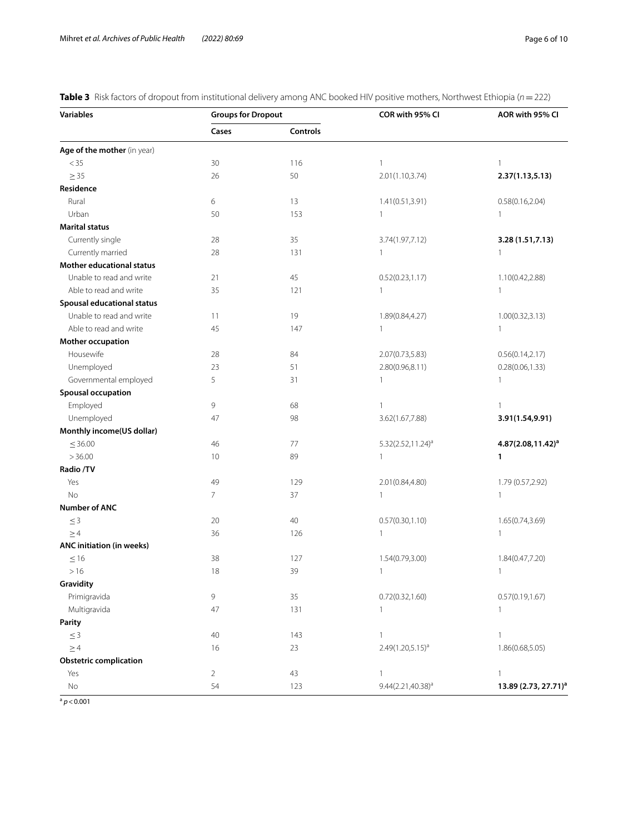<span id="page-5-0"></span>**Table 3** Risk factors of dropout from institutional delivery among ANC booked HIV positive mothers, Northwest Ethiopia (*n*=222)

| <b>Variables</b>              | <b>Groups for Dropout</b> |          | COR with 95% CI               | AOR with 95% CI                  |
|-------------------------------|---------------------------|----------|-------------------------------|----------------------------------|
|                               | Cases                     | Controls |                               |                                  |
| Age of the mother (in year)   |                           |          |                               |                                  |
| < 35                          | 30                        | 116      | $\mathbf{1}$                  | 1                                |
| $\geq$ 35                     | 26                        | 50       | 2.01(1.10,3.74)               | 2.37(1.13, 5.13)                 |
| Residence                     |                           |          |                               |                                  |
| Rural                         | 6                         | 13       | 1.41(0.51, 3.91)              | 0.58(0.16, 2.04)                 |
| Urban                         | 50                        | 153      | $\mathbf{1}$                  | $\mathbf{1}$                     |
| <b>Marital status</b>         |                           |          |                               |                                  |
| Currently single              | 28                        | 35       | 3.74(1.97,7.12)               | 3.28 (1.51,7.13)                 |
| Currently married             | 28                        | 131      | $\mathbf{1}$                  | 1                                |
| Mother educational status     |                           |          |                               |                                  |
| Unable to read and write      | 21                        | 45       | 0.52(0.23, 1.17)              | 1.10(0.42,2.88)                  |
| Able to read and write        | 35                        | 121      | $\mathbf{1}$                  | $\mathbf{1}$                     |
| Spousal educational status    |                           |          |                               |                                  |
| Unable to read and write      | 11                        | 19       | 1.89(0.84,4.27)               | 1.00(0.32, 3.13)                 |
| Able to read and write        | 45                        | 147      | $\mathbf{1}$                  | $\mathbf{1}$                     |
| Mother occupation             |                           |          |                               |                                  |
| Housewife                     | 28                        | 84       | 2.07(0.73,5.83)               | 0.56(0.14, 2.17)                 |
| Unemployed                    | 23                        | 51       | 2.80(0.96,8.11)               | 0.28(0.06, 1.33)                 |
| Governmental employed         | 5                         | 31       | $\mathbf{1}$                  | $\mathbf{1}$                     |
| <b>Spousal occupation</b>     |                           |          |                               |                                  |
| Employed                      | 9                         | 68       | 1                             | $\mathbf{1}$                     |
| Unemployed                    | 47                        | 98       | 3.62(1.67,7.88)               | 3.91(1.54,9.91)                  |
| Monthly income(US dollar)     |                           |          |                               |                                  |
| $\leq 36.00$                  | 46                        | 77       | 5.32(2.52,11.24) <sup>a</sup> | $4.87(2.08, 11.42)^a$            |
| >36.00                        | 10                        | 89       | $\overline{1}$                | 1                                |
| Radio /TV                     |                           |          |                               |                                  |
| Yes                           | 49                        | 129      | 2.01 (0.84,4.80)              | 1.79 (0.57,2.92)                 |
| No                            | 7                         | 37       | $\mathbf{1}$                  | $\mathbf{1}$                     |
| <b>Number of ANC</b>          |                           |          |                               |                                  |
| $\leq 3$                      | 20                        | 40       | 0.57(0.30, 1.10)              | 1.65(0.74,3.69)                  |
| $\geq$ 4                      | 36                        | 126      | $\mathbf{1}$                  | 1                                |
| ANC initiation (in weeks)     |                           |          |                               |                                  |
| $\leq$ 16                     | 38                        | 127      | 1.54(0.79,3.00)               | 1.84(0.47,7.20)                  |
| >16                           | 18                        | 39       | $\overline{\phantom{a}}$      | $\mathbf{1}$                     |
| Gravidity                     |                           |          |                               |                                  |
| Primigravida                  | 9                         | 35       | 0.72(0.32, 1.60)              | 0.57(0.19, 1.67)                 |
| Multigravida                  | 47                        | 131      | $\mathbf{1}$                  | $\mathbf{1}$                     |
| Parity                        |                           |          |                               |                                  |
| $\leq 3$                      | 40                        | 143      | $\mathbf{1}$                  | $\mathbf{1}$                     |
| $\geq$ 4                      | 16                        | 23       | $2.49(1.20,5.15)^{a}$         | 1.86(0.68,5.05)                  |
| <b>Obstetric complication</b> |                           |          |                               |                                  |
| Yes                           | $\overline{2}$            | 43       | $\mathbf{1}$                  | $\mathbf{1}$                     |
| $\rm No$                      | 54                        | 123      | $9.44(2.21, 40.38)^a$         | 13.89 (2.73, 27.71) <sup>a</sup> |

 $a$   $p < 0.001$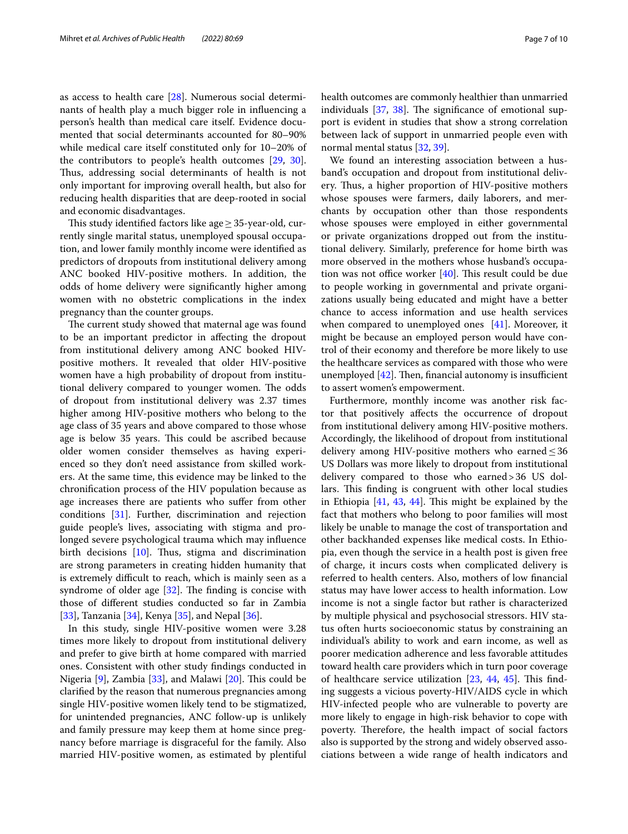as access to health care [\[28](#page-8-24)]. Numerous social determinants of health play a much bigger role in infuencing a person's health than medical care itself. Evidence documented that social determinants accounted for 80–90% while medical care itself constituted only for 10–20% of the contributors to people's health outcomes [\[29](#page-8-25), [30](#page-8-26)]. Thus, addressing social determinants of health is not only important for improving overall health, but also for reducing health disparities that are deep-rooted in social and economic disadvantages.

This study identified factors like age $\geq$  35-year-old, currently single marital status, unemployed spousal occupation, and lower family monthly income were identifed as predictors of dropouts from institutional delivery among ANC booked HIV-positive mothers. In addition, the odds of home delivery were signifcantly higher among women with no obstetric complications in the index pregnancy than the counter groups.

The current study showed that maternal age was found to be an important predictor in afecting the dropout from institutional delivery among ANC booked HIVpositive mothers. It revealed that older HIV-positive women have a high probability of dropout from institutional delivery compared to younger women. The odds of dropout from institutional delivery was 2.37 times higher among HIV-positive mothers who belong to the age class of 35 years and above compared to those whose age is below 35 years. This could be ascribed because older women consider themselves as having experienced so they don't need assistance from skilled workers. At the same time, this evidence may be linked to the chronifcation process of the HIV population because as age increases there are patients who sufer from other conditions [[31\]](#page-8-27). Further, discrimination and rejection guide people's lives, associating with stigma and prolonged severe psychological trauma which may infuence birth decisions  $[10]$  $[10]$ . Thus, stigma and discrimination are strong parameters in creating hidden humanity that is extremely difficult to reach, which is mainly seen as a syndrome of older age  $[32]$  $[32]$ . The finding is concise with those of diferent studies conducted so far in Zambia [[33\]](#page-8-29), Tanzania [\[34\]](#page-8-30), Kenya [[35](#page-8-31)], and Nepal [\[36](#page-8-32)].

In this study, single HIV-positive women were 3.28 times more likely to dropout from institutional delivery and prefer to give birth at home compared with married ones. Consistent with other study fndings conducted in Nigeria  $[9]$ , Zambia  $[33]$  $[33]$ , and Malawi  $[20]$  $[20]$  $[20]$ . This could be clarifed by the reason that numerous pregnancies among single HIV-positive women likely tend to be stigmatized, for unintended pregnancies, ANC follow-up is unlikely and family pressure may keep them at home since pregnancy before marriage is disgraceful for the family. Also married HIV-positive women, as estimated by plentiful health outcomes are commonly healthier than unmarried individuals  $[37, 38]$  $[37, 38]$  $[37, 38]$  $[37, 38]$ . The significance of emotional support is evident in studies that show a strong correlation between lack of support in unmarried people even with normal mental status [[32,](#page-8-28) [39\]](#page-8-36).

We found an interesting association between a husband's occupation and dropout from institutional delivery. Thus, a higher proportion of HIV-positive mothers whose spouses were farmers, daily laborers, and merchants by occupation other than those respondents whose spouses were employed in either governmental or private organizations dropped out from the institutional delivery. Similarly, preference for home birth was more observed in the mothers whose husband's occupation was not office worker  $[40]$  $[40]$ . This result could be due to people working in governmental and private organizations usually being educated and might have a better chance to access information and use health services when compared to unemployed ones [[41\]](#page-8-38). Moreover, it might be because an employed person would have control of their economy and therefore be more likely to use the healthcare services as compared with those who were unemployed  $[42]$  $[42]$ . Then, financial autonomy is insufficient to assert women's empowerment.

Furthermore, monthly income was another risk factor that positively afects the occurrence of dropout from institutional delivery among HIV-positive mothers. Accordingly, the likelihood of dropout from institutional delivery among HIV-positive mothers who earned  $\leq$  36 US Dollars was more likely to dropout from institutional delivery compared to those who earned>36 US dollars. This finding is congruent with other local studies in Ethiopia  $[41, 43, 44]$  $[41, 43, 44]$  $[41, 43, 44]$  $[41, 43, 44]$  $[41, 43, 44]$  $[41, 43, 44]$ . This might be explained by the fact that mothers who belong to poor families will most likely be unable to manage the cost of transportation and other backhanded expenses like medical costs. In Ethiopia, even though the service in a health post is given free of charge, it incurs costs when complicated delivery is referred to health centers. Also, mothers of low fnancial status may have lower access to health information. Low income is not a single factor but rather is characterized by multiple physical and psychosocial stressors. HIV status often hurts socioeconomic status by constraining an individual's ability to work and earn income, as well as poorer medication adherence and less favorable attitudes toward health care providers which in turn poor coverage of healthcare service utilization  $[23, 44, 45]$  $[23, 44, 45]$  $[23, 44, 45]$  $[23, 44, 45]$  $[23, 44, 45]$  $[23, 44, 45]$ . This finding suggests a vicious poverty-HIV/AIDS cycle in which HIV-infected people who are vulnerable to poverty are more likely to engage in high-risk behavior to cope with poverty. Therefore, the health impact of social factors also is supported by the strong and widely observed associations between a wide range of health indicators and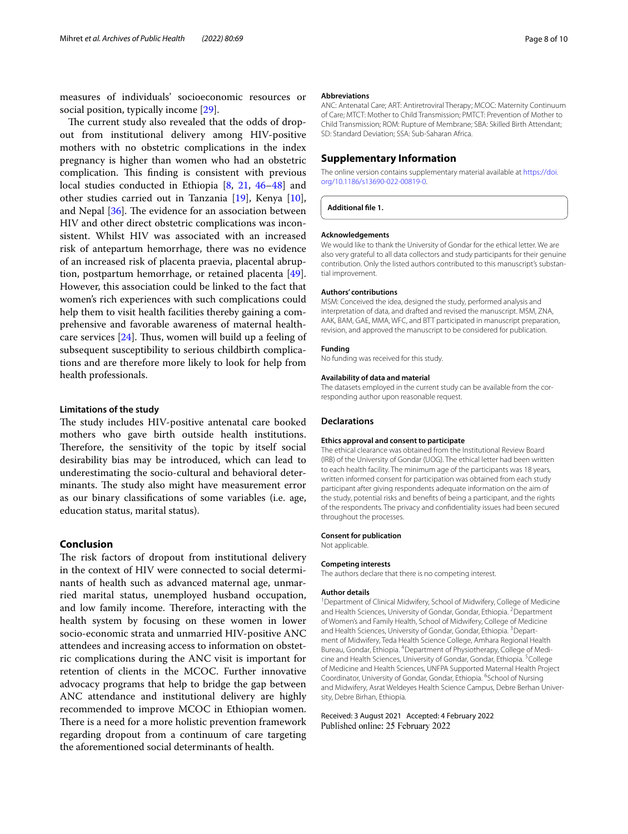measures of individuals' socioeconomic resources or social position, typically income [[29\]](#page-8-25).

The current study also revealed that the odds of dropout from institutional delivery among HIV-positive mothers with no obstetric complications in the index pregnancy is higher than women who had an obstetric complication. This finding is consistent with previous local studies conducted in Ethiopia [[8](#page-8-6), [21,](#page-8-17) [46](#page-9-3)[–48\]](#page-9-4) and other studies carried out in Tanzania [\[19](#page-8-16)], Kenya [\[10](#page-8-8)], and Nepal  $[36]$ . The evidence for an association between HIV and other direct obstetric complications was inconsistent. Whilst HIV was associated with an increased risk of antepartum hemorrhage, there was no evidence of an increased risk of placenta praevia, placental abruption, postpartum hemorrhage, or retained placenta [\[49](#page-9-5)]. However, this association could be linked to the fact that women's rich experiences with such complications could help them to visit health facilities thereby gaining a comprehensive and favorable awareness of maternal healthcare services  $[24]$  $[24]$ . Thus, women will build up a feeling of subsequent susceptibility to serious childbirth complications and are therefore more likely to look for help from health professionals.

## **Limitations of the study**

The study includes HIV-positive antenatal care booked mothers who gave birth outside health institutions. Therefore, the sensitivity of the topic by itself social desirability bias may be introduced, which can lead to underestimating the socio-cultural and behavioral determinants. The study also might have measurement error as our binary classifcations of some variables (i.e. age, education status, marital status).

## **Conclusion**

The risk factors of dropout from institutional delivery in the context of HIV were connected to social determinants of health such as advanced maternal age, unmarried marital status, unemployed husband occupation, and low family income. Therefore, interacting with the health system by focusing on these women in lower socio-economic strata and unmarried HIV-positive ANC attendees and increasing access to information on obstetric complications during the ANC visit is important for retention of clients in the MCOC. Further innovative advocacy programs that help to bridge the gap between ANC attendance and institutional delivery are highly recommended to improve MCOC in Ethiopian women. There is a need for a more holistic prevention framework regarding dropout from a continuum of care targeting the aforementioned social determinants of health.

#### **Abbreviations**

ANC: Antenatal Care; ART: Antiretroviral Therapy; MCOC: Maternity Continuum of Care; MTCT: Mother to Child Transmission; PMTCT: Prevention of Mother to Child Transmission; ROM: Rupture of Membrane; SBA: Skilled Birth Attendant; SD: Standard Deviation; SSA: Sub-Saharan Africa.

## **Supplementary Information**

The online version contains supplementary material available at [https://doi.](https://doi.org/10.1186/s13690-022-00819-0) [org/10.1186/s13690-022-00819-0](https://doi.org/10.1186/s13690-022-00819-0).

**Additional fle 1.**

#### **Acknowledgements**

We would like to thank the University of Gondar for the ethical letter. We are also very grateful to all data collectors and study participants for their genuine contribution. Only the listed authors contributed to this manuscript's substantial improvement.

## **Authors' contributions**

MSM: Conceived the idea, designed the study, performed analysis and interpretation of data, and drafted and revised the manuscript. MSM, ZNA, AAK, BAM, GAE, MMA, WFC, and BTT participated in manuscript preparation, revision, and approved the manuscript to be considered for publication.

#### **Funding**

No funding was received for this study.

#### **Availability of data and material**

The datasets employed in the current study can be available from the corresponding author upon reasonable request.

#### **Declarations**

#### **Ethics approval and consent to participate**

The ethical clearance was obtained from the Institutional Review Board (IRB) of the University of Gondar (UOG). The ethical letter had been written to each health facility. The minimum age of the participants was 18 years, written informed consent for participation was obtained from each study participant after giving respondents adequate information on the aim of the study, potential risks and benefts of being a participant, and the rights of the respondents. The privacy and confdentiality issues had been secured throughout the processes.

#### **Consent for publication**

Not applicable.

#### **Competing interests**

The authors declare that there is no competing interest.

#### **Author details**

<sup>1</sup> Department of Clinical Midwifery, School of Midwifery, College of Medicine and Health Sciences, University of Gondar, Gondar, Ethiopia. <sup>2</sup> Department of Women's and Family Health, School of Midwifery, College of Medicine and Health Sciences, University of Gondar, Gondar, Ethiopia. <sup>3</sup> Department of Midwifery, Teda Health Science College, Amhara Regional Health Bureau, Gondar, Ethiopia. 4 Department of Physiotherapy, College of Medicine and Health Sciences, University of Gondar, Gondar, Ethiopia. <sup>5</sup>College of Medicine and Health Sciences, UNFPA Supported Maternal Health Project Coordinator, University of Gondar, Gondar, Ethiopia. <sup>6</sup>School of Nursing and Midwifery, Asrat Weldeyes Health Science Campus, Debre Berhan University, Debre Birhan, Ethiopia.

Received: 3 August 2021 Accepted: 4 February 2022Published online: 25 February 2022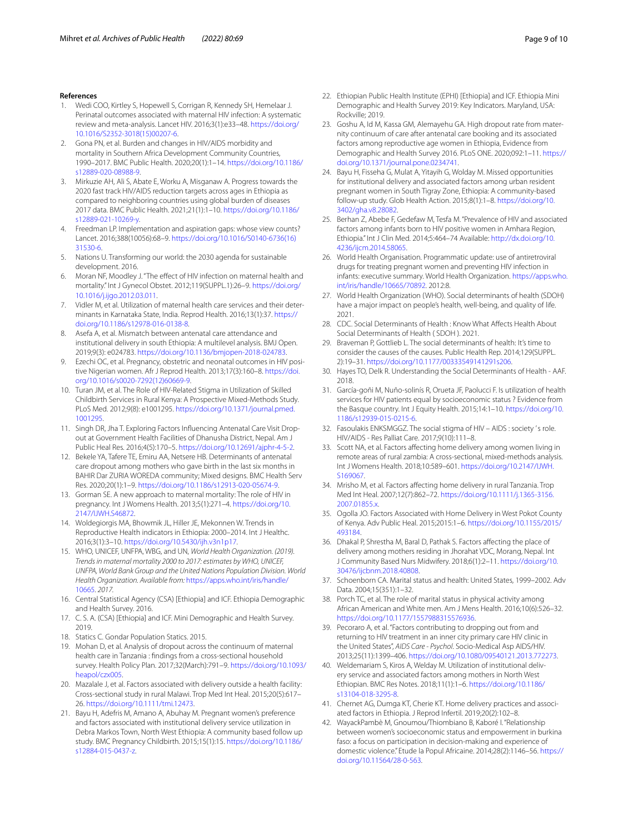#### **References**

- <span id="page-8-0"></span>1. Wedi COO, Kirtley S, Hopewell S, Corrigan R, Kennedy SH, Hemelaar J. Perinatal outcomes associated with maternal HIV infection: A systematic review and meta-analysis. Lancet HIV. 2016;3(1):e33–48. [https://doi.org/](https://doi.org/10.1016/S2352-3018(15)00207-6) [10.1016/S2352-3018\(15\)00207-6](https://doi.org/10.1016/S2352-3018(15)00207-6).
- 2. Gona PN, et al. Burden and changes in HIV/AIDS morbidity and mortality in Southern Africa Development Community Countries, 1990–2017. BMC Public Health. 2020;20(1):1–14. [https://doi.org/10.1186/](https://doi.org/10.1186/s12889-020-08988-9) [s12889-020-08988-9](https://doi.org/10.1186/s12889-020-08988-9).
- <span id="page-8-1"></span>3. Mirkuzie AH, Ali S, Abate E, Worku A, Misganaw A. Progress towards the 2020 fast track HIV/AIDS reduction targets across ages in Ethiopia as compared to neighboring countries using global burden of diseases 2017 data. BMC Public Health. 2021;21(1):1–10. [https://doi.org/10.1186/](https://doi.org/10.1186/s12889-021-10269-y) [s12889-021-10269-y.](https://doi.org/10.1186/s12889-021-10269-y)
- <span id="page-8-2"></span>4. Freedman LP. Implementation and aspiration gaps: whose view counts? Lancet. 2016;388(10056):68–9. [https://doi.org/10.1016/S0140-6736\(16\)](https://doi.org/10.1016/S0140-6736(16)31530-6) [31530-6.](https://doi.org/10.1016/S0140-6736(16)31530-6)
- <span id="page-8-3"></span>5. Nations U. Transforming our world: the 2030 agenda for sustainable development. 2016.
- <span id="page-8-4"></span>6. Moran NF, Moodley J. "The efect of HIV infection on maternal health and mortality." Int J Gynecol Obstet. 2012;119(SUPPL.1):26–9. [https://doi.org/](https://doi.org/10.1016/j.ijgo.2012.03.011) [10.1016/j.ijgo.2012.03.011](https://doi.org/10.1016/j.ijgo.2012.03.011).
- <span id="page-8-5"></span>7. Vidler M, et al. Utilization of maternal health care services and their determinants in Karnataka State, India. Reprod Health. 2016;13(1):37. [https://](https://doi.org/10.1186/s12978-016-0138-8) [doi.org/10.1186/s12978-016-0138-8](https://doi.org/10.1186/s12978-016-0138-8).
- <span id="page-8-6"></span>Asefa A, et al. Mismatch between antenatal care attendance and institutional delivery in south Ethiopia: A multilevel analysis. BMJ Open. 2019;9(3): e024783.<https://doi.org/10.1136/bmjopen-2018-024783>.
- <span id="page-8-7"></span>9. Ezechi OC, et al. Pregnancy, obstetric and neonatal outcomes in HIV positive Nigerian women. Afr J Reprod Health. 2013;17(3):160–8. [https://doi.](https://doi.org/10.1016/s0020-7292(12)60669-9) [org/10.1016/s0020-7292\(12\)60669-9](https://doi.org/10.1016/s0020-7292(12)60669-9).
- <span id="page-8-8"></span>10. Turan JM, et al. The Role of HIV-Related Stigma in Utilization of Skilled Childbirth Services in Rural Kenya: A Prospective Mixed-Methods Study. PLoS Med. 2012;9(8): e1001295. [https://doi.org/10.1371/journal.pmed.](https://doi.org/10.1371/journal.pmed.1001295) [1001295](https://doi.org/10.1371/journal.pmed.1001295).
- <span id="page-8-9"></span>11. Singh DR, Jha T. Exploring Factors Infuencing Antenatal Care Visit Dropout at Government Health Facilities of Dhanusha District, Nepal. Am J Public Heal Res. 2016;4(5):170–5. <https://doi.org/10.12691/ajphr-4-5-2>.
- <span id="page-8-10"></span>12. Bekele YA, Tafere TE, Emiru AA, Netsere HB. Determinants of antenatal care dropout among mothers who gave birth in the last six months in BAHIR Dar ZURIA WOREDA community; Mixed designs. BMC Health Serv Res. 2020;20(1):1–9. [https://doi.org/10.1186/s12913-020-05674-9.](https://doi.org/10.1186/s12913-020-05674-9)
- <span id="page-8-11"></span>13. Gorman SE. A new approach to maternal mortality: The role of HIV in pregnancy. Int J Womens Health. 2013;5(1):271–4. [https://doi.org/10.](https://doi.org/10.2147/IJWH.S46872) [2147/IJWH.S46872](https://doi.org/10.2147/IJWH.S46872).
- 14. Woldegiorgis MA, Bhowmik JL, Hiller JE, Mekonnen W. Trends in Reproductive Health indicators in Ethiopia: 2000–2014. Int J Healthc. 2016;3(1):3–10. <https://doi.org/10.5430/ijh.v3n1p17>.
- <span id="page-8-12"></span>15. WHO, UNICEF, UNFPA, WBG, and UN, *World Health Organization. (2019). Trends in maternal mortality 2000 to 2017: estimates by WHO, UNICEF, UNFPA, World Bank Group and the United Nations Population Division. World Health Organization. Available from:* [https://apps.who.int/iris/handle/](https://apps.who.int/iris/handle/10665) [10665](https://apps.who.int/iris/handle/10665)*. 2017.*
- <span id="page-8-13"></span>16. Central Statistical Agency (CSA) [Ethiopia] and ICF. Ethiopia Demographic and Health Survey. 2016.
- <span id="page-8-14"></span>17. C. S. A. (CSA) [Ethiopia] and ICF. Mini Demographic and Health Survey. 2019.
- <span id="page-8-15"></span>18. Statics C. Gondar Population Statics. 2015.
- <span id="page-8-16"></span>19. Mohan D, et al. Analysis of dropout across the continuum of maternal health care in Tanzania : fndings from a cross-sectional household survey. Health Policy Plan. 2017;32(March):791–9. [https://doi.org/10.1093/](https://doi.org/10.1093/heapol/czx005) [heapol/czx005.](https://doi.org/10.1093/heapol/czx005)
- <span id="page-8-33"></span>20. Mazalale J, et al. Factors associated with delivery outside a health facility: Cross-sectional study in rural Malawi. Trop Med Int Heal. 2015;20(5):617– 26. <https://doi.org/10.1111/tmi.12473>.
- <span id="page-8-17"></span>21. Bayu H, Adefris M, Amano A, Abuhay M. Pregnant women's preference and factors associated with institutional delivery service utilization in Debra Markos Town, North West Ethiopia: A community based follow up study. BMC Pregnancy Childbirth. 2015;15(1):15. [https://doi.org/10.1186/](https://doi.org/10.1186/s12884-015-0437-z) [s12884-015-0437-z](https://doi.org/10.1186/s12884-015-0437-z).
- <span id="page-8-18"></span>22. Ethiopian Public Health Institute (EPHI) [Ethiopia] and ICF. Ethiopia Mini Demographic and Health Survey 2019: Key Indicators. Maryland, USA: Rockville; 2019.
- <span id="page-8-19"></span>23. Goshu A, Id M, Kassa GM, Alemayehu GA. High dropout rate from maternity continuum of care after antenatal care booking and its associated factors among reproductive age women in Ethiopia, Evidence from Demographic and Health Survey 2016. PLoS ONE. 2020;092:1–11. [https://](https://doi.org/10.1371/journal.pone.0234741) [doi.org/10.1371/journal.pone.0234741](https://doi.org/10.1371/journal.pone.0234741).
- <span id="page-8-20"></span>24. Bayu H, Fisseha G, Mulat A, Yitayih G, Wolday M. Missed opportunities for institutional delivery and associated factors among urban resident pregnant women in South Tigray Zone, Ethiopia: A community-based follow-up study. Glob Health Action. 2015;8(1):1–8. [https://doi.org/10.](https://doi.org/10.3402/gha.v8.28082) [3402/gha.v8.28082](https://doi.org/10.3402/gha.v8.28082).
- <span id="page-8-21"></span>25. Berhan Z, Abebe F, Gedefaw M, Tesfa M. "Prevalence of HIV and associated factors among infants born to HIV positive women in Amhara Region, Ethiopia." Int J Clin Med. 2014;5:464–74 Available: [http://dx.doi.org/10.](http://dx.doi.org/10.4236/ijcm.2014.58065) [4236/ijcm.2014.58065](http://dx.doi.org/10.4236/ijcm.2014.58065).
- <span id="page-8-22"></span>26. World Health Organisation. Programmatic update: use of antiretroviral drugs for treating pregnant women and preventing HIV infection in infants: executive summary. World Health Organization. [https://apps.who.](https://apps.who.int/iris/handle/10665/70892) [int/iris/handle/10665/70892.](https://apps.who.int/iris/handle/10665/70892) 2012:8.
- <span id="page-8-23"></span>27. World Health Organization (WHO). Social determinants of health (SDOH) have a major impact on people's health, well-being, and quality of life. 2021.
- <span id="page-8-24"></span>28. CDC. Social Determinants of Health : Know What Affects Health About Social Determinants of Health ( SDOH ). 2021.
- <span id="page-8-25"></span>29. Braveman P, Gottlieb L. The social determinants of health: It's time to consider the causes of the causes. Public Health Rep. 2014;129(SUPPL. 2):19–31. [https://doi.org/10.1177/00333549141291s206.](https://doi.org/10.1177/00333549141291s206)
- <span id="page-8-26"></span>30. Hayes TO, Delk R. Understanding the Social Determinants of Health - AAF. 2018.
- <span id="page-8-27"></span>31. García-goñi M, Nuño-solinís R, Orueta JF, Paolucci F. Is utilization of health services for HIV patients equal by socioeconomic status ? Evidence from the Basque country. Int J Equity Health. 2015;14:1–10. [https://doi.org/10.](https://doi.org/10.1186/s12939-015-0215-6) [1186/s12939-015-0215-6](https://doi.org/10.1186/s12939-015-0215-6).
- <span id="page-8-28"></span>32. Fasoulakis ENKSMGGZ. The social stigma of HIV – AIDS : society ' s role. HIV/AIDS - Res Palliat Care. 2017;9(10):111–8.
- <span id="page-8-29"></span>33. Scott NA, et al. Factors afecting home delivery among women living in remote areas of rural zambia: A cross-sectional, mixed-methods analysis. Int J Womens Health. 2018;10:589–601. [https://doi.org/10.2147/IJWH.](https://doi.org/10.2147/IJWH.S169067) [S169067](https://doi.org/10.2147/IJWH.S169067).
- <span id="page-8-30"></span>34. Mrisho M, et al. Factors afecting home delivery in rural Tanzania. Trop Med Int Heal. 2007;12(7):862–72. [https://doi.org/10.1111/j.1365-3156.](https://doi.org/10.1111/j.1365-3156.2007.01855.x) [2007.01855.x](https://doi.org/10.1111/j.1365-3156.2007.01855.x).
- <span id="page-8-31"></span>35. Ogolla JO. Factors Associated with Home Delivery in West Pokot County of Kenya. Adv Public Heal. 2015;2015:1–6. [https://doi.org/10.1155/2015/](https://doi.org/10.1155/2015/493184) [493184.](https://doi.org/10.1155/2015/493184)
- <span id="page-8-32"></span>36. Dhakal P, Shrestha M, Baral D, Pathak S. Factors afecting the place of delivery among mothers residing in Jhorahat VDC, Morang, Nepal. Int J Community Based Nurs Midwifery. 2018;6(1):2–11. [https://doi.org/10.](https://doi.org/10.30476/ijcbnm.2018.40808) [30476/ijcbnm.2018.40808](https://doi.org/10.30476/ijcbnm.2018.40808).
- <span id="page-8-34"></span>37. Schoenborn CA. Marital status and health: United States, 1999–2002. Adv Data. 2004;15(351):1–32.
- <span id="page-8-35"></span>38. Porch TC, et al. The role of marital status in physical activity among African American and White men. Am J Mens Health. 2016;10(6):526–32. <https://doi.org/10.1177/1557988315576936>.
- <span id="page-8-36"></span>39. Pecoraro A, et al. "Factors contributing to dropping out from and returning to HIV treatment in an inner city primary care HIV clinic in the United States", *AIDS Care - Psychol*. Socio-Medical Asp AIDS/HIV. 2013;25(11):1399–406. <https://doi.org/10.1080/09540121.2013.772273>.
- <span id="page-8-37"></span>40. Weldemariam S, Kiros A, Welday M. Utilization of institutional delivery service and associated factors among mothers in North West Ethiopian. BMC Res Notes. 2018;11(1):1–6. [https://doi.org/10.1186/](https://doi.org/10.1186/s13104-018-3295-8) [s13104-018-3295-8.](https://doi.org/10.1186/s13104-018-3295-8)
- <span id="page-8-38"></span>41. Chernet AG, Dumga KT, Cherie KT. Home delivery practices and associated factors in Ethiopia. J Reprod Infertil. 2019;20(2):102–8.
- <span id="page-8-39"></span>42. WayackPambè M, Gnoumou/Thiombiano B, Kaboré I. "Relationship between women's socioeconomic status and empowerment in burkina faso: a focus on participation in decision-making and experience of domestic violence." Etude la Popul Africaine. 2014;28(2):1146–56. [https://](https://doi.org/10.11564/28-0-563) [doi.org/10.11564/28-0-563.](https://doi.org/10.11564/28-0-563)